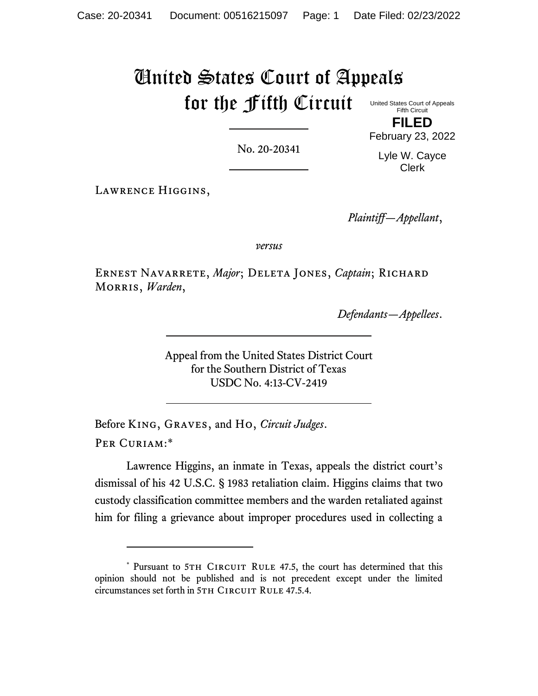# United States Court of Appeals for the Fifth Circuit

No. 20-20341

United States Court of Appeals Fifth Circuit **FILED**

February 23, 2022

Lyle W. Cayce Clerk

Lawrence Higgins,

*Plaintiff—Appellant*,

*versus*

Ernest Navarrete, *Major*; Deleta Jones, *Captain*; Richard Morris, *Warden*,

*Defendants—Appellees*.

Appeal from the United States District Court for the Southern District of Texas USDC No. 4:13-CV-2419

Before King, Graves, and Ho, *Circuit Judges*. Per Curiam:\*

Lawrence Higgins, an inmate in Texas, appeals the district court's dismissal of his 42 U.S.C. § 1983 retaliation claim. Higgins claims that two custody classification committee members and the warden retaliated against him for filing a grievance about improper procedures used in collecting a

<sup>\*</sup> Pursuant to 5TH CIRCUIT RULE 47.5, the court has determined that this opinion should not be published and is not precedent except under the limited circumstances set forth in 5TH CIRCUIT RULE 47.5.4.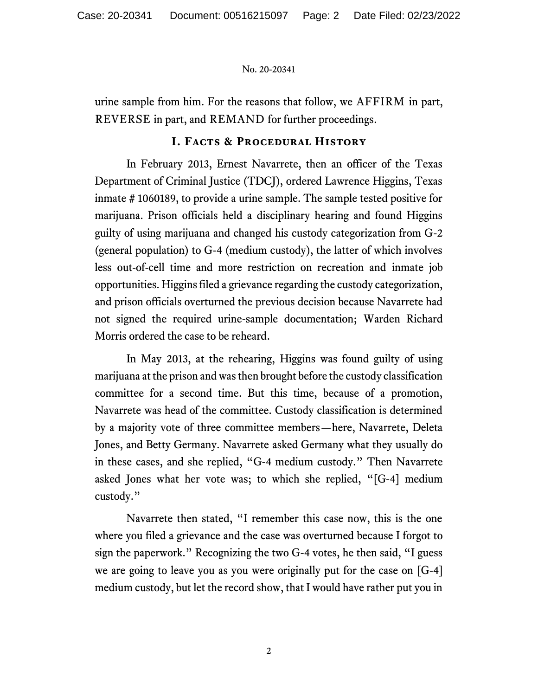urine sample from him. For the reasons that follow, we AFFIRM in part, REVERSE in part, and REMAND for further proceedings.

# **I. Facts & Procedural History**

In February 2013, Ernest Navarrete, then an officer of the Texas Department of Criminal Justice (TDCJ), ordered Lawrence Higgins, Texas inmate # 1060189, to provide a urine sample. The sample tested positive for marijuana. Prison officials held a disciplinary hearing and found Higgins guilty of using marijuana and changed his custody categorization from G-2 (general population) to G-4 (medium custody), the latter of which involves less out-of-cell time and more restriction on recreation and inmate job opportunities. Higgins filed a grievance regarding the custody categorization, and prison officials overturned the previous decision because Navarrete had not signed the required urine-sample documentation; Warden Richard Morris ordered the case to be reheard.

In May 2013, at the rehearing, Higgins was found guilty of using marijuana at the prison and was then brought before the custody classification committee for a second time. But this time, because of a promotion, Navarrete was head of the committee. Custody classification is determined by a majority vote of three committee members—here, Navarrete, Deleta Jones, and Betty Germany. Navarrete asked Germany what they usually do in these cases, and she replied, "G-4 medium custody." Then Navarrete asked Jones what her vote was; to which she replied, "[G-4] medium custody."

Navarrete then stated, "I remember this case now, this is the one where you filed a grievance and the case was overturned because I forgot to sign the paperwork." Recognizing the two G-4 votes, he then said, "I guess we are going to leave you as you were originally put for the case on [G-4] medium custody, but let the record show, that I would have rather put you in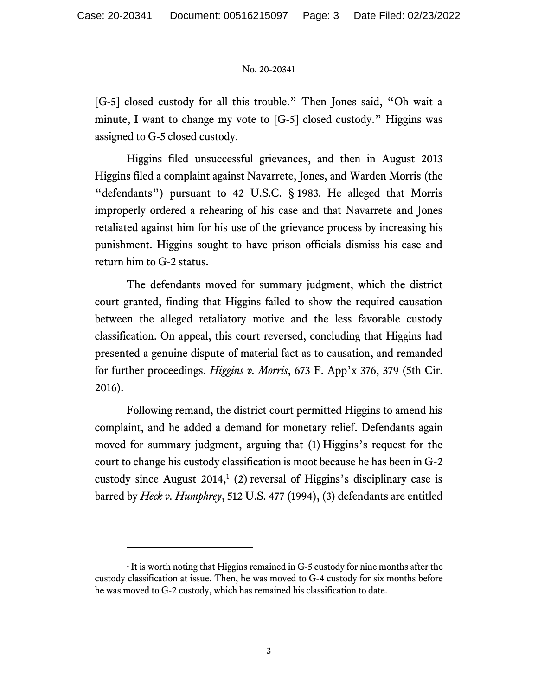[G-5] closed custody for all this trouble." Then Jones said, "Oh wait a minute, I want to change my vote to [G-5] closed custody." Higgins was assigned to G-5 closed custody.

Higgins filed unsuccessful grievances, and then in August 2013 Higgins filed a complaint against Navarrete, Jones, and Warden Morris (the "defendants") pursuant to 42 U.S.C. § 1983. He alleged that Morris improperly ordered a rehearing of his case and that Navarrete and Jones retaliated against him for his use of the grievance process by increasing his punishment. Higgins sought to have prison officials dismiss his case and return him to G-2 status.

The defendants moved for summary judgment, which the district court granted, finding that Higgins failed to show the required causation between the alleged retaliatory motive and the less favorable custody classification. On appeal, this court reversed, concluding that Higgins had presented a genuine dispute of material fact as to causation, and remanded for further proceedings. *Higgins v. Morris*, 673 F. App'x 376, 379 (5th Cir. 2016).

Following remand, the district court permitted Higgins to amend his complaint, and he added a demand for monetary relief. Defendants again moved for summary judgment, arguing that (1) Higgins's request for the court to change his custody classification is moot because he has been in G-2 custody since August  $2014$ ,<sup>1</sup> (2) reversal of Higgins's disciplinary case is barred by *Heck v. Humphrey*, 512 U.S. 477 (1994), (3) defendants are entitled

<sup>&</sup>lt;sup>1</sup> It is worth noting that Higgins remained in G-5 custody for nine months after the custody classification at issue. Then, he was moved to G-4 custody for six months before he was moved to G-2 custody, which has remained his classification to date.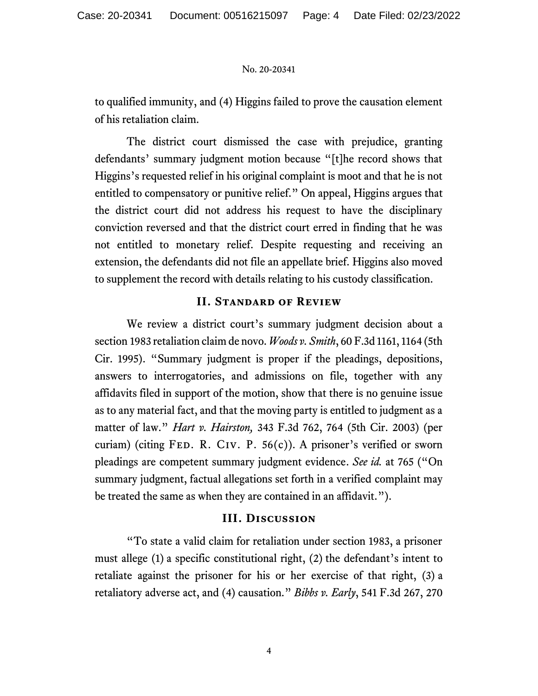to qualified immunity, and (4) Higgins failed to prove the causation element of his retaliation claim.

The district court dismissed the case with prejudice, granting defendants' summary judgment motion because "[t]he record shows that Higgins's requested relief in his original complaint is moot and that he is not entitled to compensatory or punitive relief." On appeal, Higgins argues that the district court did not address his request to have the disciplinary conviction reversed and that the district court erred in finding that he was not entitled to monetary relief. Despite requesting and receiving an extension, the defendants did not file an appellate brief. Higgins also moved to supplement the record with details relating to his custody classification.

# **II. Standard of Review**

We review a district court's summary judgment decision about a section 1983 retaliation claim de novo. *Woods v. Smith*, 60 F.3d 1161, 1164 (5th Cir. 1995). "Summary judgment is proper if the pleadings, depositions, answers to interrogatories, and admissions on file, together with any affidavits filed in support of the motion, show that there is no genuine issue as to any material fact, and that the moving party is entitled to judgment as a matter of law." *Hart v. Hairston,* 343 F.3d 762, 764 (5th Cir. 2003) (per curiam) (citing FED. R. CIV. P.  $56(c)$ ). A prisoner's verified or sworn pleadings are competent summary judgment evidence. *See id.* at 765 ("On summary judgment, factual allegations set forth in a verified complaint may be treated the same as when they are contained in an affidavit.").

# **III. Discussion**

"To state a valid claim for retaliation under section 1983, a prisoner must allege (1) a specific constitutional right, (2) the defendant's intent to retaliate against the prisoner for his or her exercise of that right, (3) a retaliatory adverse act, and (4) causation." *Bibbs v. Early*, 541 F.3d 267, 270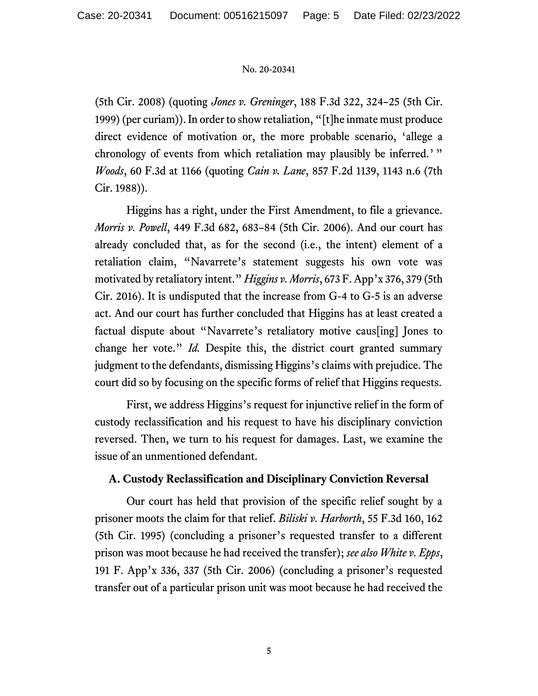(5th Cir. 2008) (quoting *Jones v. Greninger*, 188 F.3d 322, 324–25 (5th Cir. 1999) (per curiam)). In order to show retaliation, "[t]he inmate must produce direct evidence of motivation or, the more probable scenario, 'allege a chronology of events from which retaliation may plausibly be inferred.' " *Woods*, 60 F.3d at 1166 (quoting *Cain v. Lane*, 857 F.2d 1139, 1143 n.6 (7th Cir. 1988)).

Higgins has a right, under the First Amendment, to file a grievance. *Morris v. Powell*, 449 F.3d 682, 683–84 (5th Cir. 2006). And our court has already concluded that, as for the second (i.e., the intent) element of a retaliation claim, "Navarrete's statement suggests his own vote was motivated by retaliatory intent." *Higgins v. Morris*, 673 F. App'x 376, 379 (5th Cir. 2016). It is undisputed that the increase from G-4 to G-5 is an adverse act. And our court has further concluded that Higgins has at least created a factual dispute about "Navarrete's retaliatory motive caus[ing] Jones to change her vote." *Id.* Despite this, the district court granted summary judgment to the defendants, dismissing Higgins's claims with prejudice. The court did so by focusing on the specific forms of relief that Higgins requests.

First, we address Higgins's request for injunctive relief in the form of custody reclassification and his request to have his disciplinary conviction reversed. Then, we turn to his request for damages. Last, we examine the issue of an unmentioned defendant.

# **A. Custody Reclassification and Disciplinary Conviction Reversal**

Our court has held that provision of the specific relief sought by a prisoner moots the claim for that relief. *Biliski v. Harborth*, 55 F.3d 160, 162 (5th Cir. 1995) (concluding a prisoner's requested transfer to a different prison was moot because he had received the transfer); *see also White v. Epps*, 191 F. App'x 336, 337 (5th Cir. 2006) (concluding a prisoner's requested transfer out of a particular prison unit was moot because he had received the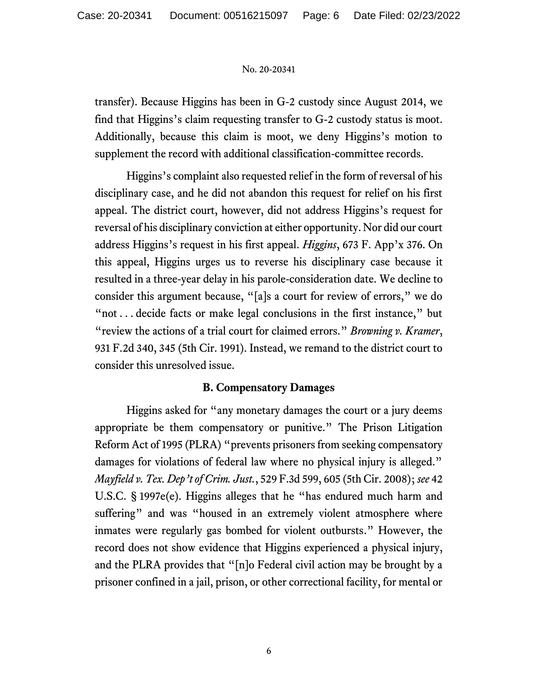transfer). Because Higgins has been in G-2 custody since August 2014, we find that Higgins's claim requesting transfer to G-2 custody status is moot. Additionally, because this claim is moot, we deny Higgins's motion to supplement the record with additional classification-committee records.

Higgins's complaint also requested relief in the form of reversal of his disciplinary case, and he did not abandon this request for relief on his first appeal. The district court, however, did not address Higgins's request for reversal of his disciplinary conviction at either opportunity. Nor did our court address Higgins's request in his first appeal. *Higgins*, 673 F. App'x 376. On this appeal, Higgins urges us to reverse his disciplinary case because it resulted in a three-year delay in his parole-consideration date. We decline to consider this argument because, "[a]s a court for review of errors," we do "not . . . decide facts or make legal conclusions in the first instance," but "review the actions of a trial court for claimed errors." *Browning v. Kramer*, 931 F.2d 340, 345 (5th Cir. 1991). Instead, we remand to the district court to consider this unresolved issue.

# **B. Compensatory Damages**

Higgins asked for "any monetary damages the court or a jury deems appropriate be them compensatory or punitive." The Prison Litigation Reform Act of 1995 (PLRA) "prevents prisoners from seeking compensatory damages for violations of federal law where no physical injury is alleged." *Mayfield v. Tex. Dep't of Crim. Just.*, 529 F.3d 599, 605 (5th Cir. 2008); *see* 42 U.S.C. § 1997e(e). Higgins alleges that he "has endured much harm and suffering" and was "housed in an extremely violent atmosphere where inmates were regularly gas bombed for violent outbursts." However, the record does not show evidence that Higgins experienced a physical injury, and the PLRA provides that "[n]o Federal civil action may be brought by a prisoner confined in a jail, prison, or other correctional facility, for mental or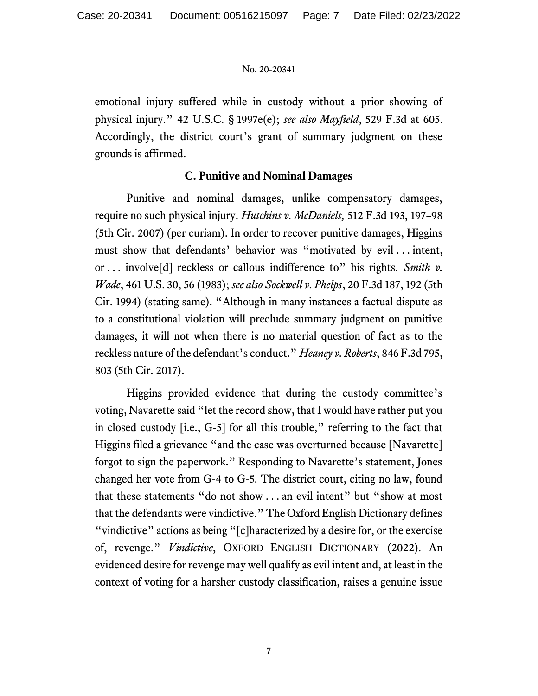emotional injury suffered while in custody without a prior showing of physical injury." 42 U.S.C. § 1997e(e); *see also Mayfield*, 529 F.3d at 605. Accordingly, the district court's grant of summary judgment on these grounds is affirmed.

# **C. Punitive and Nominal Damages**

Punitive and nominal damages, unlike compensatory damages, require no such physical injury. *Hutchins v. McDaniels,* 512 F.3d 193, 197–98 (5th Cir. 2007) (per curiam). In order to recover punitive damages, Higgins must show that defendants' behavior was "motivated by evil . . . intent, or . . . involve[d] reckless or callous indifference to" his rights. *Smith v. Wade*, 461 U.S. 30, 56 (1983); *see also Sockwell v. Phelps*, 20 F.3d 187, 192 (5th Cir. 1994) (stating same). "Although in many instances a factual dispute as to a constitutional violation will preclude summary judgment on punitive damages, it will not when there is no material question of fact as to the reckless nature of the defendant's conduct." *Heaney v. Roberts*, 846 F.3d 795, 803 (5th Cir. 2017).

Higgins provided evidence that during the custody committee's voting, Navarette said "let the record show, that I would have rather put you in closed custody [i.e., G-5] for all this trouble," referring to the fact that Higgins filed a grievance "and the case was overturned because [Navarette] forgot to sign the paperwork." Responding to Navarette's statement, Jones changed her vote from G-4 to G-5. The district court, citing no law, found that these statements "do not show . . . an evil intent" but "show at most that the defendants were vindictive." The Oxford English Dictionary defines "vindictive" actions as being "[c]haracterized by a desire for, or the exercise of, revenge." *Vindictive*, OXFORD ENGLISH DICTIONARY (2022). An evidenced desire for revenge may well qualify as evil intent and, at least in the context of voting for a harsher custody classification, raises a genuine issue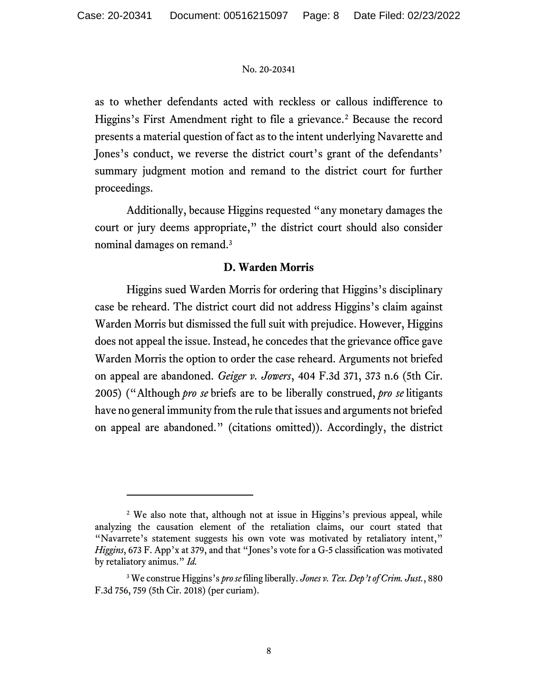as to whether defendants acted with reckless or callous indifference to Higgins's First Amendment right to file a grievance.<sup>2</sup> Because the record presents a material question of fact as to the intent underlying Navarette and Jones's conduct, we reverse the district court's grant of the defendants' summary judgment motion and remand to the district court for further proceedings.

Additionally, because Higgins requested "any monetary damages the court or jury deems appropriate," the district court should also consider nominal damages on remand.<sup>3</sup>

# **D. Warden Morris**

Higgins sued Warden Morris for ordering that Higgins's disciplinary case be reheard. The district court did not address Higgins's claim against Warden Morris but dismissed the full suit with prejudice. However, Higgins does not appeal the issue. Instead, he concedes that the grievance office gave Warden Morris the option to order the case reheard. Arguments not briefed on appeal are abandoned. *Geiger v. Jowers*, 404 F.3d 371, 373 n.6 (5th Cir. 2005) ("Although *pro se* briefs are to be liberally construed, *pro se* litigants have no general immunity from the rule that issues and arguments not briefed on appeal are abandoned." (citations omitted)). Accordingly, the district

<sup>&</sup>lt;sup>2</sup> We also note that, although not at issue in Higgins's previous appeal, while analyzing the causation element of the retaliation claims, our court stated that "Navarrete's statement suggests his own vote was motivated by retaliatory intent," *Higgins*, 673 F. App'x at 379, and that "Jones's vote for a G-5 classification was motivated by retaliatory animus." *Id.*

<sup>3</sup> We construe Higgins's *pro se*filing liberally. *Jones v. Tex. Dep't of Crim. Just.*, 880 F.3d 756, 759 (5th Cir. 2018) (per curiam).